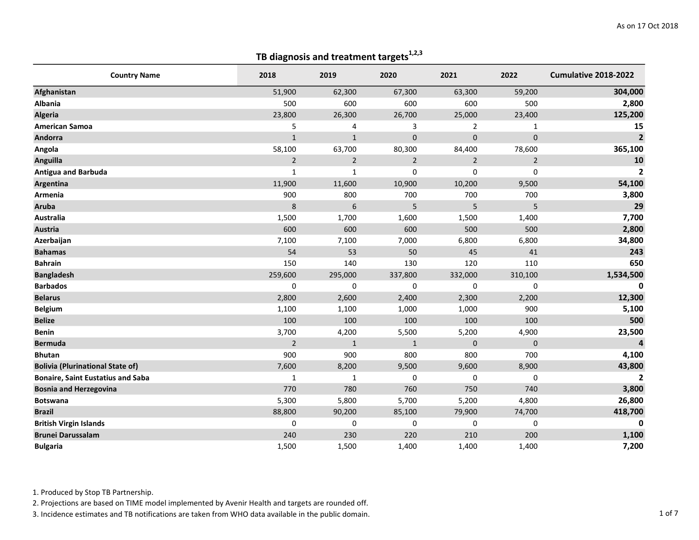| <b>Country Name</b>                      | 2018           | 2019           | 2020           | 2021           | 2022           | Cumulative 2018-2022 |
|------------------------------------------|----------------|----------------|----------------|----------------|----------------|----------------------|
| Afghanistan                              | 51,900         | 62,300         | 67,300         | 63,300         | 59,200         | 304,000              |
| <b>Albania</b>                           | 500            | 600            | 600            | 600            | 500            | 2,800                |
| <b>Algeria</b>                           | 23,800         | 26,300         | 26,700         | 25,000         | 23,400         | 125,200              |
| <b>American Samoa</b>                    | 5              | 4              | 3              | $\overline{2}$ | $\mathbf{1}$   | 15                   |
| Andorra                                  | $\mathbf{1}$   | $\mathbf{1}$   | $\bf 0$        | 0              | $\pmb{0}$      | $\overline{2}$       |
| Angola                                   | 58,100         | 63,700         | 80,300         | 84,400         | 78,600         | 365,100              |
| <b>Anguilla</b>                          | $\overline{2}$ | $\overline{2}$ | $\overline{2}$ | $\overline{2}$ | $\overline{2}$ | 10                   |
| <b>Antigua and Barbuda</b>               | $\mathbf{1}$   | $\mathbf{1}$   | 0              | 0              | 0              | $\overline{2}$       |
| Argentina                                | 11,900         | 11,600         | 10,900         | 10,200         | 9,500          | 54,100               |
| Armenia                                  | 900            | 800            | 700            | 700            | 700            | 3,800                |
| <b>Aruba</b>                             | 8              | 6              | 5              | 5              | 5              | 29                   |
| Australia                                | 1,500          | 1,700          | 1,600          | 1,500          | 1,400          | 7,700                |
| <b>Austria</b>                           | 600            | 600            | 600            | 500            | 500            | 2,800                |
| Azerbaijan                               | 7,100          | 7,100          | 7,000          | 6,800          | 6,800          | 34,800               |
| <b>Bahamas</b>                           | 54             | 53             | 50             | 45             | 41             | 243                  |
| <b>Bahrain</b>                           | 150            | 140            | 130            | 120            | 110            | 650                  |
| <b>Bangladesh</b>                        | 259,600        | 295,000        | 337,800        | 332,000        | 310,100        | 1,534,500            |
| <b>Barbados</b>                          | 0              | 0              | 0              | 0              | $\mathbf 0$    | 0                    |
| <b>Belarus</b>                           | 2,800          | 2,600          | 2,400          | 2,300          | 2,200          | 12,300               |
| <b>Belgium</b>                           | 1,100          | 1,100          | 1,000          | 1,000          | 900            | 5,100                |
| <b>Belize</b>                            | 100            | 100            | 100            | 100            | 100            | 500                  |
| <b>Benin</b>                             | 3,700          | 4,200          | 5,500          | 5,200          | 4,900          | 23,500               |
| <b>Bermuda</b>                           | $\overline{2}$ | $\mathbf{1}$   | $\mathbf{1}$   | 0              | $\mathbf 0$    | $\overline{4}$       |
| <b>Bhutan</b>                            | 900            | 900            | 800            | 800            | 700            | 4,100                |
| <b>Bolivia (Plurinational State of)</b>  | 7,600          | 8,200          | 9,500          | 9,600          | 8,900          | 43,800               |
| <b>Bonaire, Saint Eustatius and Saba</b> | $\mathbf{1}$   | $1\,$          | 0              | 0              | 0              | $\mathbf{2}$         |
| <b>Bosnia and Herzegovina</b>            | 770            | 780            | 760            | 750            | 740            | 3,800                |
| <b>Botswana</b>                          | 5,300          | 5,800          | 5,700          | 5,200          | 4,800          | 26,800               |
| <b>Brazil</b>                            | 88,800         | 90,200         | 85,100         | 79,900         | 74,700         | 418,700              |
| <b>British Virgin Islands</b>            | 0              | 0              | 0              | 0              | $\mathbf 0$    | 0                    |
| <b>Brunei Darussalam</b>                 | 240            | 230            | 220            | 210            | 200            | 1,100                |
| <b>Bulgaria</b>                          | 1,500          | 1,500          | 1,400          | 1,400          | 1,400          | 7,200                |

1. Produced by Stop TB Partnership.

2. Projections are based on TIME model implemented by Avenir Health and targets are rounded off.

3. Incidence estimates and TB notifications are taken from WHO data available in the public domain. 1 1 of 7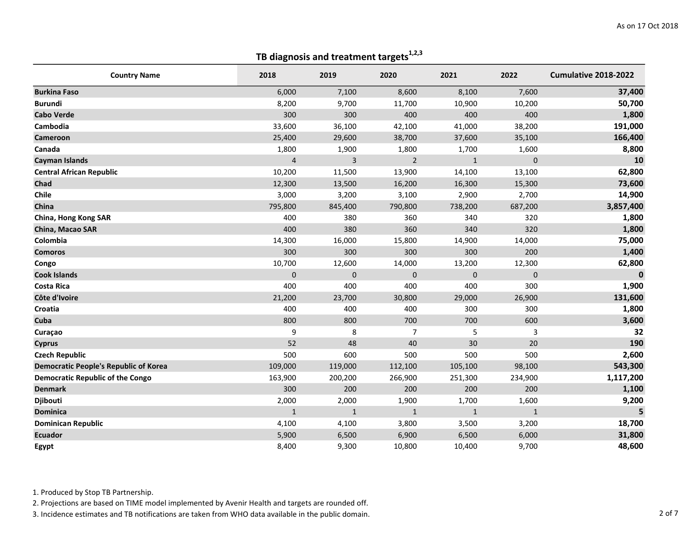| <b>Country Name</b>                          | 2018           | 2019         | 2020           | 2021           | 2022         | Cumulative 2018-2022 |
|----------------------------------------------|----------------|--------------|----------------|----------------|--------------|----------------------|
| <b>Burkina Faso</b>                          | 6,000          | 7,100        | 8,600          | 8,100          | 7,600        | 37,400               |
| <b>Burundi</b>                               | 8,200          | 9,700        | 11,700         | 10,900         | 10,200       | 50,700               |
| <b>Cabo Verde</b>                            | 300            | 300          | 400            | 400            | 400          | 1,800                |
| Cambodia                                     | 33,600         | 36,100       | 42,100         | 41,000         | 38,200       | 191,000              |
| Cameroon                                     | 25,400         | 29,600       | 38,700         | 37,600         | 35,100       | 166,400              |
| Canada                                       | 1,800          | 1,900        | 1,800          | 1,700          | 1,600        | 8,800                |
| <b>Cayman Islands</b>                        | $\overline{4}$ | 3            | $\overline{2}$ | $\mathbf{1}$   | $\mathbf 0$  | 10                   |
| <b>Central African Republic</b>              | 10,200         | 11,500       | 13,900         | 14,100         | 13,100       | 62,800               |
| Chad                                         | 12,300         | 13,500       | 16,200         | 16,300         | 15,300       | 73,600               |
| Chile                                        | 3,000          | 3,200        | 3,100          | 2,900          | 2,700        | 14,900               |
| China                                        | 795,800        | 845,400      | 790,800        | 738,200        | 687,200      | 3,857,400            |
| China, Hong Kong SAR                         | 400            | 380          | 360            | 340            | 320          | 1,800                |
| China, Macao SAR                             | 400            | 380          | 360            | 340            | 320          | 1,800                |
| Colombia                                     | 14,300         | 16,000       | 15,800         | 14,900         | 14,000       | 75,000               |
| <b>Comoros</b>                               | 300            | 300          | 300            | 300            | 200          | 1,400                |
| Congo                                        | 10,700         | 12,600       | 14,000         | 13,200         | 12,300       | 62,800               |
| <b>Cook Islands</b>                          | $\mathbf{0}$   | $\pmb{0}$    | $\mathbf 0$    | $\overline{0}$ | $\pmb{0}$    | $\mathbf 0$          |
| <b>Costa Rica</b>                            | 400            | 400          | 400            | 400            | 300          | 1,900                |
| Côte d'Ivoire                                | 21,200         | 23,700       | 30,800         | 29,000         | 26,900       | 131,600              |
| Croatia                                      | 400            | 400          | 400            | 300            | 300          | 1,800                |
| Cuba                                         | 800            | 800          | 700            | 700            | 600          | 3,600                |
| Curaçao                                      | 9              | 8            | $\overline{7}$ | 5              | 3            | 32                   |
| <b>Cyprus</b>                                | 52             | 48           | 40             | 30             | 20           | 190                  |
| <b>Czech Republic</b>                        | 500            | 600          | 500            | 500            | 500          | 2,600                |
| <b>Democratic People's Republic of Korea</b> | 109,000        | 119,000      | 112,100        | 105,100        | 98,100       | 543,300              |
| <b>Democratic Republic of the Congo</b>      | 163,900        | 200,200      | 266,900        | 251,300        | 234,900      | 1,117,200            |
| <b>Denmark</b>                               | 300            | 200          | 200            | 200            | 200          | 1,100                |
| Djibouti                                     | 2,000          | 2,000        | 1,900          | 1,700          | 1,600        | 9,200                |
| <b>Dominica</b>                              | $\mathbf{1}$   | $\mathbf{1}$ | $\mathbf{1}$   | $\mathbf{1}$   | $\mathbf{1}$ | 5                    |
| <b>Dominican Republic</b>                    | 4,100          | 4,100        | 3,800          | 3,500          | 3,200        | 18,700               |
| <b>Ecuador</b>                               | 5,900          | 6,500        | 6,900          | 6,500          | 6,000        | 31,800               |
| Egypt                                        | 8,400          | 9,300        | 10,800         | 10,400         | 9,700        | 48,600               |

1. Produced by Stop TB Partnership.

2. Projections are based on TIME model implemented by Avenir Health and targets are rounded off.

3. Incidence estimates and TB notifications are taken from WHO data available in the public domain. 2 of 7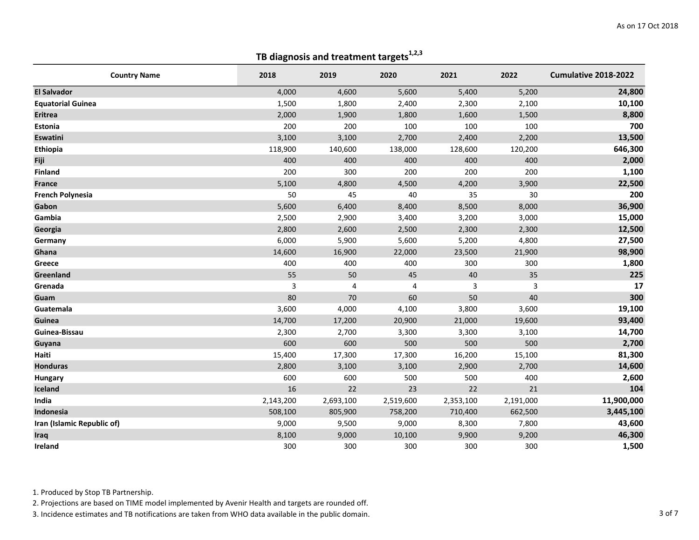| <b>Country Name</b>        | 2018      | 2019      | 2020      | 2021      | 2022      | Cumulative 2018-2022 |
|----------------------------|-----------|-----------|-----------|-----------|-----------|----------------------|
| <b>El Salvador</b>         | 4,000     | 4,600     | 5,600     | 5,400     | 5,200     | 24,800               |
| <b>Equatorial Guinea</b>   | 1,500     | 1,800     | 2,400     | 2,300     | 2,100     | 10,100               |
| <b>Eritrea</b>             | 2,000     | 1,900     | 1,800     | 1,600     | 1,500     | 8,800                |
| Estonia                    | 200       | 200       | 100       | 100       | 100       | 700                  |
| Eswatini                   | 3,100     | 3,100     | 2,700     | 2,400     | 2,200     | 13,500               |
| Ethiopia                   | 118,900   | 140,600   | 138,000   | 128,600   | 120,200   | 646,300              |
| Fiji                       | 400       | 400       | 400       | 400       | 400       | 2,000                |
| <b>Finland</b>             | 200       | 300       | 200       | 200       | 200       | 1,100                |
| <b>France</b>              | 5,100     | 4,800     | 4,500     | 4,200     | 3,900     | 22,500               |
| <b>French Polynesia</b>    | 50        | 45        | 40        | 35        | 30        | 200                  |
| Gabon                      | 5,600     | 6,400     | 8,400     | 8,500     | 8,000     | 36,900               |
| Gambia                     | 2,500     | 2,900     | 3,400     | 3,200     | 3,000     | 15,000               |
| Georgia                    | 2,800     | 2,600     | 2,500     | 2,300     | 2,300     | 12,500               |
| Germany                    | 6,000     | 5,900     | 5,600     | 5,200     | 4,800     | 27,500               |
| Ghana                      | 14,600    | 16,900    | 22,000    | 23,500    | 21,900    | 98,900               |
| Greece                     | 400       | 400       | 400       | 300       | 300       | 1,800                |
| Greenland                  | 55        | 50        | 45        | 40        | 35        | 225                  |
| Grenada                    | 3         | 4         | 4         | 3         | 3         | 17                   |
| Guam                       | 80        | 70        | 60        | 50        | 40        | 300                  |
| Guatemala                  | 3,600     | 4,000     | 4,100     | 3,800     | 3,600     | 19,100               |
| Guinea                     | 14,700    | 17,200    | 20,900    | 21,000    | 19,600    | 93,400               |
| Guinea-Bissau              | 2,300     | 2,700     | 3,300     | 3,300     | 3,100     | 14,700               |
| Guyana                     | 600       | 600       | 500       | 500       | 500       | 2,700                |
| Haiti                      | 15,400    | 17,300    | 17,300    | 16,200    | 15,100    | 81,300               |
| <b>Honduras</b>            | 2,800     | 3,100     | 3,100     | 2,900     | 2,700     | 14,600               |
| <b>Hungary</b>             | 600       | 600       | 500       | 500       | 400       | 2,600                |
| Iceland                    | 16        | 22        | 23        | 22        | 21        | 104                  |
| India                      | 2,143,200 | 2,693,100 | 2,519,600 | 2,353,100 | 2,191,000 | 11,900,000           |
| Indonesia                  | 508,100   | 805,900   | 758,200   | 710,400   | 662,500   | 3,445,100            |
| Iran (Islamic Republic of) | 9,000     | 9,500     | 9,000     | 8,300     | 7,800     | 43,600               |
| Iraq                       | 8,100     | 9,000     | 10,100    | 9,900     | 9,200     | 46,300               |
| Ireland                    | 300       | 300       | 300       | 300       | 300       | 1,500                |

1. Produced by Stop TB Partnership.

2. Projections are based on TIME model implemented by Avenir Health and targets are rounded off.

3. Incidence estimates and TB notifications are taken from WHO data available in the public domain. 3 of 7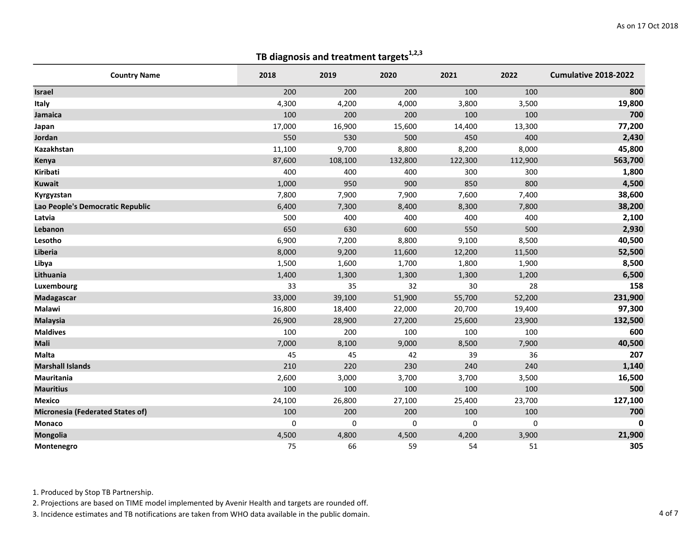| <b>Country Name</b>                     | 2018   | 2019    | 2020        | 2021    | 2022        | Cumulative 2018-2022 |
|-----------------------------------------|--------|---------|-------------|---------|-------------|----------------------|
| <b>Israel</b>                           | 200    | 200     | 200         | 100     | 100         | 800                  |
| Italy                                   | 4,300  | 4,200   | 4,000       | 3,800   | 3,500       | 19,800               |
| Jamaica                                 | 100    | 200     | 200         | 100     | 100         | 700                  |
| Japan                                   | 17,000 | 16,900  | 15,600      | 14,400  | 13,300      | 77,200               |
| Jordan                                  | 550    | 530     | 500         | 450     | 400         | 2,430                |
| Kazakhstan                              | 11,100 | 9,700   | 8,800       | 8,200   | 8,000       | 45,800               |
| Kenya                                   | 87,600 | 108,100 | 132,800     | 122,300 | 112,900     | 563,700              |
| Kiribati                                | 400    | 400     | 400         | 300     | 300         | 1,800                |
| <b>Kuwait</b>                           | 1,000  | 950     | 900         | 850     | 800         | 4,500                |
| Kyrgyzstan                              | 7,800  | 7,900   | 7,900       | 7,600   | 7,400       | 38,600               |
| Lao People's Democratic Republic        | 6,400  | 7,300   | 8,400       | 8,300   | 7,800       | 38,200               |
| Latvia                                  | 500    | 400     | 400         | 400     | 400         | 2,100                |
| Lebanon                                 | 650    | 630     | 600         | 550     | 500         | 2,930                |
| Lesotho                                 | 6,900  | 7,200   | 8,800       | 9,100   | 8,500       | 40,500               |
| Liberia                                 | 8,000  | 9,200   | 11,600      | 12,200  | 11,500      | 52,500               |
| Libya                                   | 1,500  | 1,600   | 1,700       | 1,800   | 1,900       | 8,500                |
| Lithuania                               | 1,400  | 1,300   | 1,300       | 1,300   | 1,200       | 6,500                |
| Luxembourg                              | 33     | 35      | 32          | 30      | 28          | 158                  |
| Madagascar                              | 33,000 | 39,100  | 51,900      | 55,700  | 52,200      | 231,900              |
| Malawi                                  | 16,800 | 18,400  | 22,000      | 20,700  | 19,400      | 97,300               |
| <b>Malaysia</b>                         | 26,900 | 28,900  | 27,200      | 25,600  | 23,900      | 132,500              |
| <b>Maldives</b>                         | 100    | 200     | 100         | 100     | 100         | 600                  |
| Mali                                    | 7,000  | 8,100   | 9,000       | 8,500   | 7,900       | 40,500               |
| Malta                                   | 45     | 45      | 42          | 39      | 36          | 207                  |
| <b>Marshall Islands</b>                 | 210    | 220     | 230         | 240     | 240         | 1,140                |
| Mauritania                              | 2,600  | 3,000   | 3,700       | 3,700   | 3,500       | 16,500               |
| <b>Mauritius</b>                        | 100    | 100     | 100         | 100     | 100         | 500                  |
| <b>Mexico</b>                           | 24,100 | 26,800  | 27,100      | 25,400  | 23,700      | 127,100              |
| <b>Micronesia (Federated States of)</b> | 100    | 200     | 200         | 100     | 100         | 700                  |
| Monaco                                  | 0      | 0       | $\mathbf 0$ | 0       | $\mathbf 0$ | 0                    |
| <b>Mongolia</b>                         | 4,500  | 4,800   | 4,500       | 4,200   | 3,900       | 21,900               |
| Montenegro                              | 75     | 66      | 59          | 54      | 51          | 305                  |

1. Produced by Stop TB Partnership.

2. Projections are based on TIME model implemented by Avenir Health and targets are rounded off.

3. Incidence estimates and TB notifications are taken from WHO data available in the public domain. 4 of 7 and 2 of 7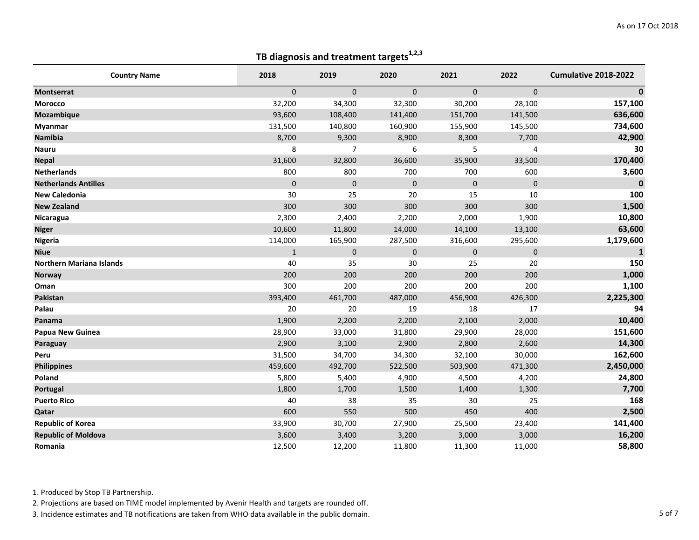| <b>Country Name</b>             | 2018         | 2019           | 2020             | 2021      | 2022         | Cumulative 2018-2022 |
|---------------------------------|--------------|----------------|------------------|-----------|--------------|----------------------|
| <b>Montserrat</b>               | $\mathbf{0}$ | $\mathbf{0}$   | $\mathbf{0}$     | 0         | $\mathbf{0}$ | $\mathbf{0}$         |
| Morocco                         | 32,200       | 34,300         | 32,300           | 30,200    | 28,100       | 157,100              |
| <b>Mozambique</b>               | 93,600       | 108,400        | 141,400          | 151,700   | 141,500      | 636,600              |
| <b>Myanmar</b>                  | 131,500      | 140,800        | 160,900          | 155,900   | 145,500      | 734,600              |
| Namibia                         | 8,700        | 9,300          | 8,900            | 8,300     | 7,700        | 42,900               |
| <b>Nauru</b>                    | 8            | $\overline{7}$ | $\boldsymbol{6}$ | 5         | 4            | 30                   |
| <b>Nepal</b>                    | 31,600       | 32,800         | 36,600           | 35,900    | 33,500       | 170,400              |
| <b>Netherlands</b>              | 800          | 800            | 700              | 700       | 600          | 3,600                |
| <b>Netherlands Antilles</b>     | 0            | $\mathbf 0$    | $\mathbf 0$      | $\pmb{0}$ | $\mathbf 0$  | $\bf{0}$             |
| <b>New Caledonia</b>            | 30           | 25             | 20               | 15        | 10           | 100                  |
| <b>New Zealand</b>              | 300          | 300            | 300              | 300       | 300          | 1,500                |
| Nicaragua                       | 2,300        | 2,400          | 2,200            | 2,000     | 1,900        | 10,800               |
| <b>Niger</b>                    | 10,600       | 11,800         | 14,000           | 14,100    | 13,100       | 63,600               |
| Nigeria                         | 114,000      | 165,900        | 287,500          | 316,600   | 295,600      | 1,179,600            |
| <b>Niue</b>                     | $\mathbf{1}$ | $\mathbf 0$    | $\mathbf 0$      | 0         | $\mathbf 0$  | $\mathbf{1}$         |
| <b>Northern Mariana Islands</b> | 40           | 35             | 30               | 25        | 20           | 150                  |
| <b>Norway</b>                   | 200          | 200            | 200              | 200       | 200          | 1,000                |
| Oman                            | 300          | 200            | 200              | 200       | 200          | 1,100                |
| Pakistan                        | 393,400      | 461,700        | 487,000          | 456,900   | 426,300      | 2,225,300            |
| Palau                           | 20           | 20             | 19               | 18        | 17           | 94                   |
| Panama                          | 1,900        | 2,200          | 2,200            | 2,100     | 2,000        | 10,400               |
| <b>Papua New Guinea</b>         | 28,900       | 33,000         | 31,800           | 29,900    | 28,000       | 151,600              |
| Paraguay                        | 2,900        | 3,100          | 2,900            | 2,800     | 2,600        | 14,300               |
| Peru                            | 31,500       | 34,700         | 34,300           | 32,100    | 30,000       | 162,600              |
| <b>Philippines</b>              | 459,600      | 492,700        | 522,500          | 503,900   | 471,300      | 2,450,000            |
| Poland                          | 5,800        | 5,400          | 4,900            | 4,500     | 4,200        | 24,800               |
| Portugal                        | 1,800        | 1,700          | 1,500            | 1,400     | 1,300        | 7,700                |
| <b>Puerto Rico</b>              | 40           | 38             | 35               | 30        | 25           | 168                  |
| Qatar                           | 600          | 550            | 500              | 450       | 400          | 2,500                |
| <b>Republic of Korea</b>        | 33,900       | 30,700         | 27,900           | 25,500    | 23,400       | 141,400              |
| <b>Republic of Moldova</b>      | 3,600        | 3,400          | 3,200            | 3,000     | 3,000        | 16,200               |
| Romania                         | 12,500       | 12,200         | 11,800           | 11,300    | 11,000       | 58,800               |

1. Produced by Stop TB Partnership.

2. Projections are based on TIME model implemented by Avenir Health and targets are rounded off.

3. Incidence estimates and TB notifications are taken from WHO data available in the public domain. 5 of 7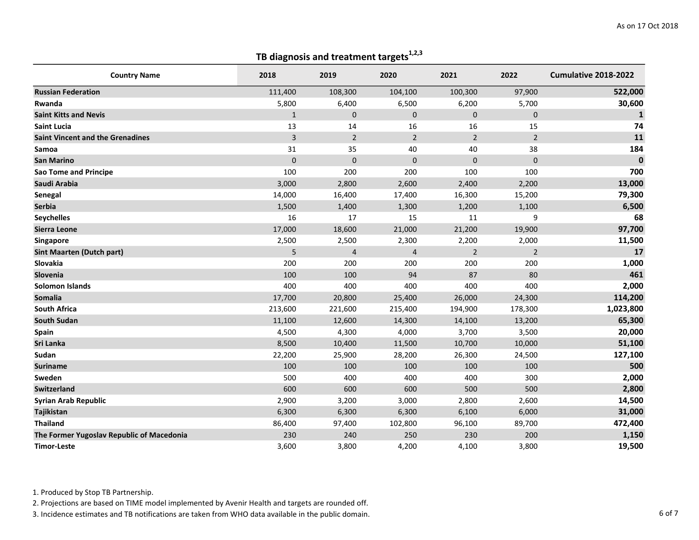| <b>Country Name</b>                       | 2018         | 2019           | 2020           | 2021           | 2022           | Cumulative 2018-2022 |
|-------------------------------------------|--------------|----------------|----------------|----------------|----------------|----------------------|
| <b>Russian Federation</b>                 | 111,400      | 108,300        | 104,100        | 100,300        | 97,900         | 522,000              |
| Rwanda                                    | 5,800        | 6,400          | 6,500          | 6,200          | 5,700          | 30,600               |
| <b>Saint Kitts and Nevis</b>              | $\mathbf{1}$ | $\mathbf{0}$   | $\Omega$       | $\mathbf 0$    | $\mathbf{0}$   | $\mathbf{1}$         |
| <b>Saint Lucia</b>                        | 13           | 14             | 16             | 16             | 15             | 74                   |
| <b>Saint Vincent and the Grenadines</b>   | 3            | $\overline{2}$ | $\overline{2}$ | $\overline{2}$ | $\overline{2}$ | 11                   |
| Samoa                                     | 31           | 35             | 40             | 40             | 38             | 184                  |
| <b>San Marino</b>                         | 0            | $\mathbf 0$    | $\mathbf 0$    | 0              | $\mathbf{0}$   | $\bf{0}$             |
| <b>Sao Tome and Principe</b>              | 100          | 200            | 200            | 100            | 100            | 700                  |
| Saudi Arabia                              | 3,000        | 2,800          | 2,600          | 2,400          | 2,200          | 13,000               |
| Senegal                                   | 14,000       | 16,400         | 17,400         | 16,300         | 15,200         | 79,300               |
| <b>Serbia</b>                             | 1,500        | 1,400          | 1,300          | 1,200          | 1,100          | 6,500                |
| <b>Seychelles</b>                         | 16           | 17             | 15             | 11             | 9              | 68                   |
| <b>Sierra Leone</b>                       | 17,000       | 18,600         | 21,000         | 21,200         | 19,900         | 97,700               |
| Singapore                                 | 2,500        | 2,500          | 2,300          | 2,200          | 2,000          | 11,500               |
| <b>Sint Maarten (Dutch part)</b>          | 5            | $\overline{4}$ | $\overline{4}$ | $\overline{2}$ | $\overline{2}$ | 17                   |
| Slovakia                                  | 200          | 200            | 200            | 200            | 200            | 1,000                |
| Slovenia                                  | 100          | 100            | 94             | 87             | 80             | 461                  |
| Solomon Islands                           | 400          | 400            | 400            | 400            | 400            | 2,000                |
| <b>Somalia</b>                            | 17,700       | 20,800         | 25,400         | 26,000         | 24,300         | 114,200              |
| <b>South Africa</b>                       | 213,600      | 221,600        | 215,400        | 194,900        | 178,300        | 1,023,800            |
| <b>South Sudan</b>                        | 11,100       | 12,600         | 14,300         | 14,100         | 13,200         | 65,300               |
| <b>Spain</b>                              | 4,500        | 4,300          | 4,000          | 3,700          | 3,500          | 20,000               |
| Sri Lanka                                 | 8,500        | 10,400         | 11,500         | 10,700         | 10,000         | 51,100               |
| Sudan                                     | 22,200       | 25,900         | 28,200         | 26,300         | 24,500         | 127,100              |
| <b>Suriname</b>                           | 100          | 100            | 100            | 100            | 100            | 500                  |
| Sweden                                    | 500          | 400            | 400            | 400            | 300            | 2,000                |
| <b>Switzerland</b>                        | 600          | 600            | 600            | 500            | 500            | 2,800                |
| <b>Syrian Arab Republic</b>               | 2,900        | 3,200          | 3,000          | 2,800          | 2,600          | 14,500               |
| Tajikistan                                | 6,300        | 6,300          | 6,300          | 6,100          | 6,000          | 31,000               |
| <b>Thailand</b>                           | 86,400       | 97,400         | 102,800        | 96,100         | 89,700         | 472,400              |
| The Former Yugoslav Republic of Macedonia | 230          | 240            | 250            | 230            | 200            | 1,150                |
| <b>Timor-Leste</b>                        | 3,600        | 3,800          | 4,200          | 4,100          | 3,800          | 19,500               |

1. Produced by Stop TB Partnership.

2. Projections are based on TIME model implemented by Avenir Health and targets are rounded off.

3. Incidence estimates and TB notifications are taken from WHO data available in the public domain. 6 of 7